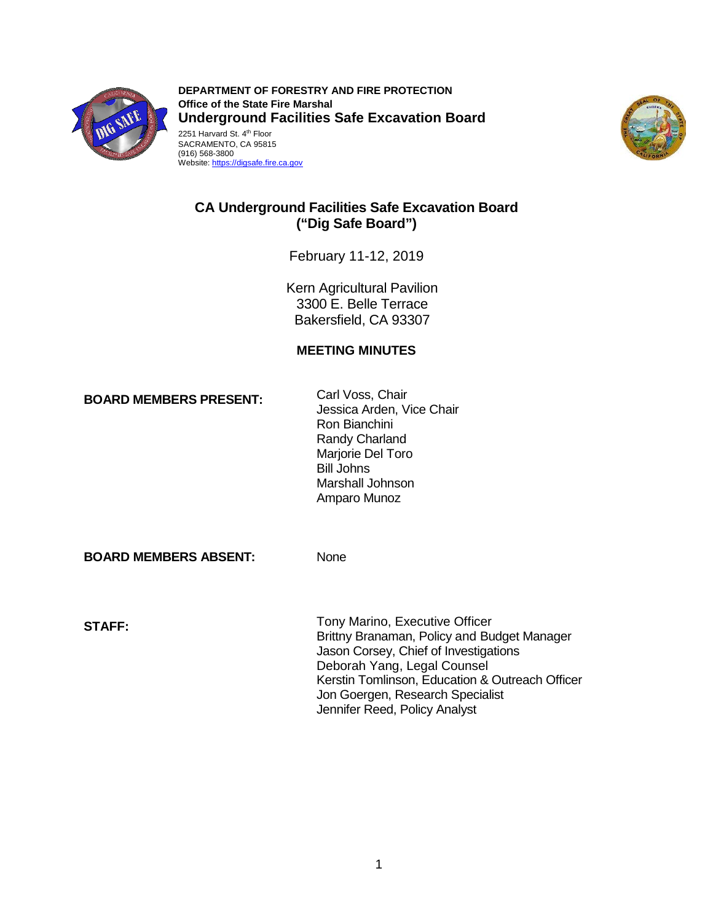

**DEPARTMENT OF FORESTRY AND FIRE PROTECTION Office of the State Fire Marshal Underground Facilities Safe Excavation Board**  2251 Harvard St. 4<sup>th</sup> Floor SACRAMENTO, CA 95815





# **CA Underground Facilities Safe Excavation Board ("Dig Safe Board")**

February 11-12, 2019

Kern Agricultural Pavilion 3300 E. Belle Terrace Bakersfield, CA 93307

## **MEETING MINUTES**

Carl Voss, Chair **BOARD MEMBERS PRESENT:** 

Jessica Arden, Vice Chair Ron Bianchini Randy Charland Marjorie Del Toro Bill Johns Marshall Johnson Amparo Munoz

**BOARD MEMBERS ABSENT:** None

Tony Marino, Executive Officer **STAFF:** Brittny Branaman, Policy and Budget Manager Jason Corsey, Chief of Investigations Deborah Yang, Legal Counsel Kerstin Tomlinson, Education & Outreach Officer Jon Goergen, Research Specialist Jennifer Reed, Policy Analyst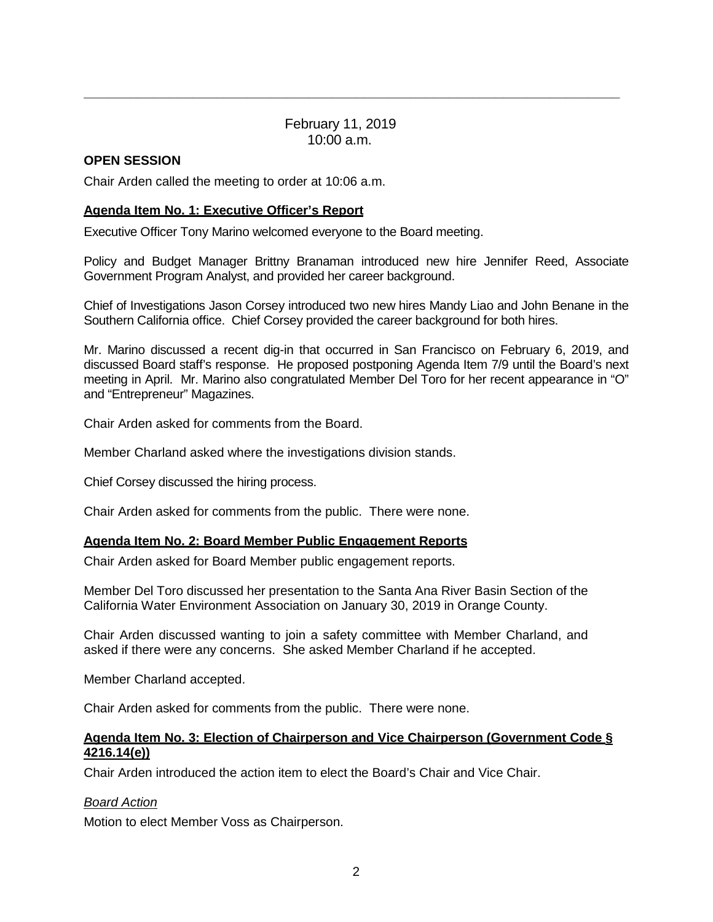February 11, 2019 10:00 a.m.

**\_\_\_\_\_\_\_\_\_\_\_\_\_\_\_\_\_\_\_\_\_\_\_\_\_\_\_\_\_\_\_\_\_\_\_\_\_\_\_\_\_\_\_\_\_\_\_\_\_\_\_\_\_\_\_\_\_\_\_\_\_\_\_\_\_\_\_\_\_** 

## **OPEN SESSION**

Chair Arden called the meeting to order at 10:06 a.m.

### **Agenda Item No. 1: Executive Officer's Report**

Executive Officer Tony Marino welcomed everyone to the Board meeting.

Policy and Budget Manager Brittny Branaman introduced new hire Jennifer Reed, Associate Government Program Analyst, and provided her career background.

Chief of Investigations Jason Corsey introduced two new hires Mandy Liao and John Benane in the Southern California office. Chief Corsey provided the career background for both hires.

Mr. Marino discussed a recent dig-in that occurred in San Francisco on February 6, 2019, and discussed Board staff's response. He proposed postponing Agenda Item 7/9 until the Board's next meeting in April. Mr. Marino also congratulated Member Del Toro for her recent appearance in "O" and "Entrepreneur" Magazines.

Chair Arden asked for comments from the Board.

Member Charland asked where the investigations division stands.

Chief Corsey discussed the hiring process.

Chair Arden asked for comments from the public. There were none.

## **Agenda Item No. 2: Board Member Public Engagement Reports**

Chair Arden asked for Board Member public engagement reports.

Member Del Toro discussed her presentation to the Santa Ana River Basin Section of the California Water Environment Association on January 30, 2019 in Orange County.

Chair Arden discussed wanting to join a safety committee with Member Charland, and asked if there were any concerns. She asked Member Charland if he accepted.

Member Charland accepted.

Chair Arden asked for comments from the public. There were none.

### **Agenda Item No. 3: Election of Chairperson and Vice Chairperson (Government Code § 4216.14(e))**

Chair Arden introduced the action item to elect the Board's Chair and Vice Chair.

### *Board Action*

Motion to elect Member Voss as Chairperson.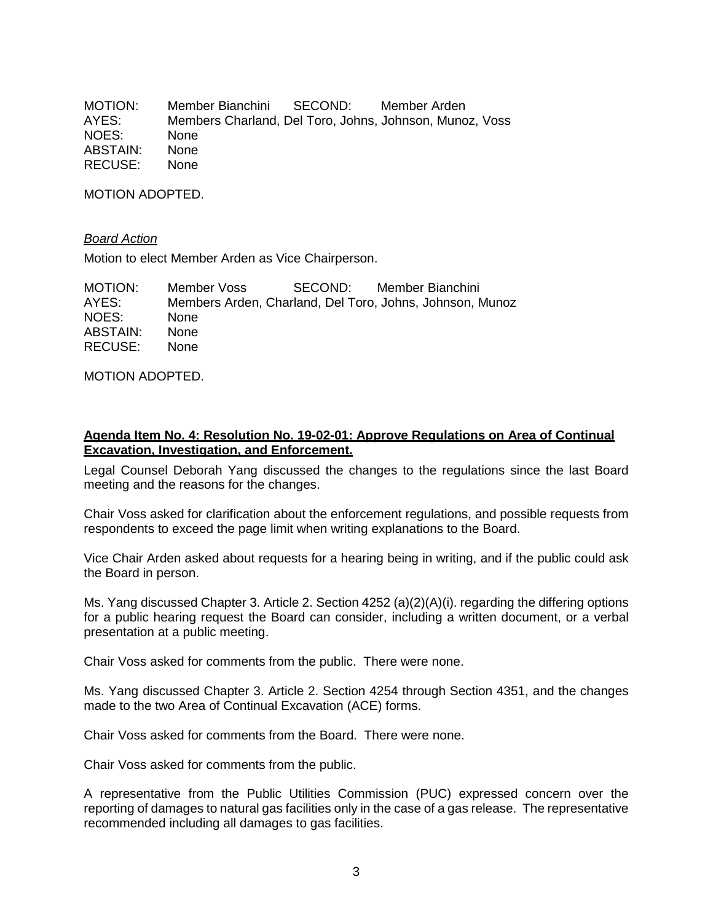MOTION: Member Bianchini SECOND: Member Arden AYES: Members Charland, Del Toro, Johns, Johnson, Munoz, Voss NOES: None ABSTAIN: None RECUSE: None

MOTION ADOPTED.

#### *Board Action*

Motion to elect Member Arden as Vice Chairperson.

| MOTION:  | Member Voss | SECOND: Member Bianchini                                 |
|----------|-------------|----------------------------------------------------------|
| AYES:    |             | Members Arden, Charland, Del Toro, Johns, Johnson, Munoz |
| NOES:    | <b>None</b> |                                                          |
| ABSTAIN: | <b>None</b> |                                                          |
| RECUSE:  | None.       |                                                          |

MOTION ADOPTED.

### **Agenda Item No. 4: Resolution No. 19-02-01: Approve Regulations on Area of Continual Excavation, Investigation, and Enforcement.**

Legal Counsel Deborah Yang discussed the changes to the regulations since the last Board meeting and the reasons for the changes.

Chair Voss asked for clarification about the enforcement regulations, and possible requests from respondents to exceed the page limit when writing explanations to the Board.

Vice Chair Arden asked about requests for a hearing being in writing, and if the public could ask the Board in person.

Ms. Yang discussed Chapter 3. Article 2. Section 4252 (a)(2)(A)(i). regarding the differing options for a public hearing request the Board can consider, including a written document, or a verbal presentation at a public meeting.

Chair Voss asked for comments from the public. There were none.

Ms. Yang discussed Chapter 3. Article 2. Section 4254 through Section 4351, and the changes made to the two Area of Continual Excavation (ACE) forms.

Chair Voss asked for comments from the Board. There were none.

Chair Voss asked for comments from the public.

A representative from the Public Utilities Commission (PUC) expressed concern over the reporting of damages to natural gas facilities only in the case of a gas release. The representative recommended including all damages to gas facilities.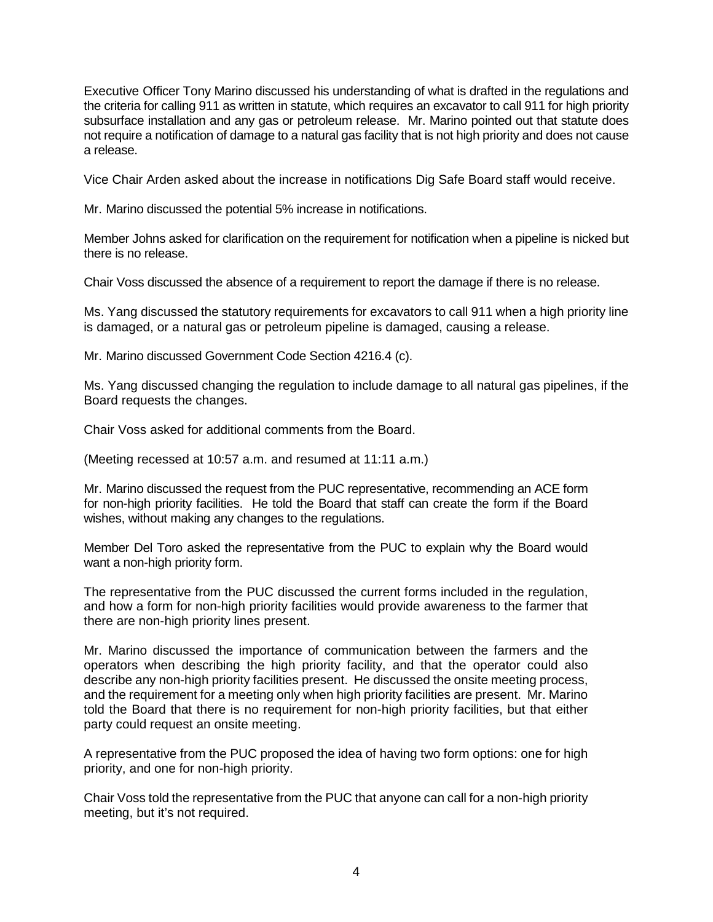Executive Officer Tony Marino discussed his understanding of what is drafted in the regulations and the criteria for calling 911 as written in statute, which requires an excavator to call 911 for high priority subsurface installation and any gas or petroleum release. Mr. Marino pointed out that statute does not require a notification of damage to a natural gas facility that is not high priority and does not cause a release.

Vice Chair Arden asked about the increase in notifications Dig Safe Board staff would receive.

Mr. Marino discussed the potential 5% increase in notifications.

Member Johns asked for clarification on the requirement for notification when a pipeline is nicked but there is no release.

Chair Voss discussed the absence of a requirement to report the damage if there is no release.

Ms. Yang discussed the statutory requirements for excavators to call 911 when a high priority line is damaged, or a natural gas or petroleum pipeline is damaged, causing a release.

Mr. Marino discussed Government Code Section 4216.4 (c).

Ms. Yang discussed changing the regulation to include damage to all natural gas pipelines, if the Board requests the changes.

Chair Voss asked for additional comments from the Board.

(Meeting recessed at 10:57 a.m. and resumed at 11:11 a.m.)

Mr. Marino discussed the request from the PUC representative, recommending an ACE form for non-high priority facilities. He told the Board that staff can create the form if the Board wishes, without making any changes to the regulations.

Member Del Toro asked the representative from the PUC to explain why the Board would want a non-high priority form.

The representative from the PUC discussed the current forms included in the regulation, and how a form for non-high priority facilities would provide awareness to the farmer that there are non-high priority lines present.

Mr. Marino discussed the importance of communication between the farmers and the operators when describing the high priority facility, and that the operator could also describe any non-high priority facilities present. He discussed the onsite meeting process, and the requirement for a meeting only when high priority facilities are present. Mr. Marino told the Board that there is no requirement for non-high priority facilities, but that either party could request an onsite meeting.

A representative from the PUC proposed the idea of having two form options: one for high priority, and one for non-high priority.

Chair Voss told the representative from the PUC that anyone can call for a non-high priority meeting, but it's not required.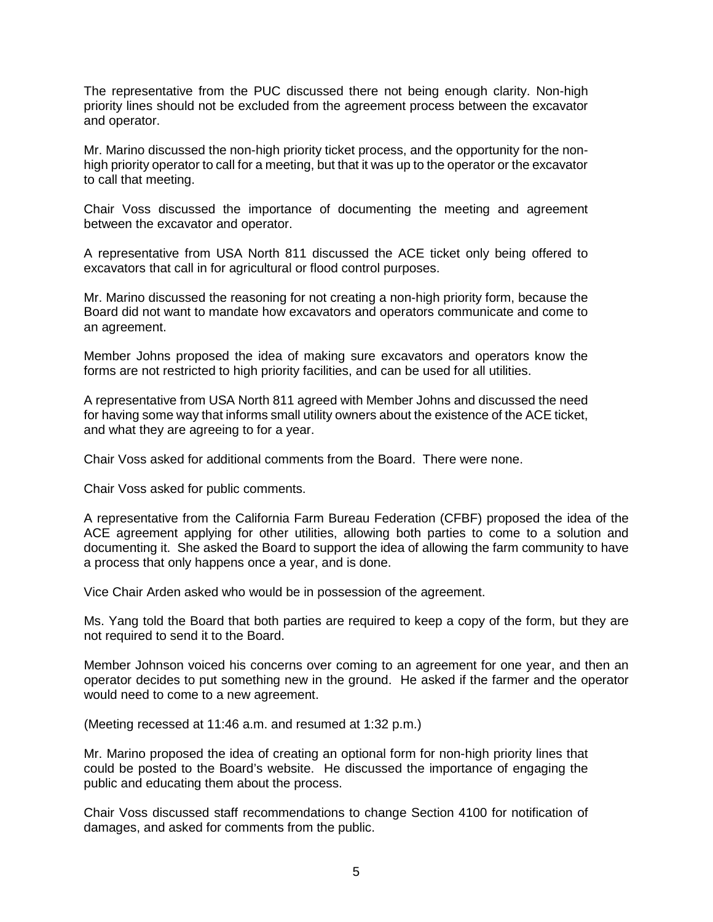The representative from the PUC discussed there not being enough clarity. Non-high priority lines should not be excluded from the agreement process between the excavator and operator.

Mr. Marino discussed the non-high priority ticket process, and the opportunity for the nonhigh priority operator to call for a meeting, but that it was up to the operator or the excavator to call that meeting.

Chair Voss discussed the importance of documenting the meeting and agreement between the excavator and operator.

A representative from USA North 811 discussed the ACE ticket only being offered to excavators that call in for agricultural or flood control purposes.

Mr. Marino discussed the reasoning for not creating a non-high priority form, because the Board did not want to mandate how excavators and operators communicate and come to an agreement.

Member Johns proposed the idea of making sure excavators and operators know the forms are not restricted to high priority facilities, and can be used for all utilities.

A representative from USA North 811 agreed with Member Johns and discussed the need for having some way that informs small utility owners about the existence of the ACE ticket, and what they are agreeing to for a year.

Chair Voss asked for additional comments from the Board. There were none.

Chair Voss asked for public comments.

A representative from the California Farm Bureau Federation (CFBF) proposed the idea of the ACE agreement applying for other utilities, allowing both parties to come to a solution and documenting it. She asked the Board to support the idea of allowing the farm community to have a process that only happens once a year, and is done.

Vice Chair Arden asked who would be in possession of the agreement.

Ms. Yang told the Board that both parties are required to keep a copy of the form, but they are not required to send it to the Board.

Member Johnson voiced his concerns over coming to an agreement for one year, and then an operator decides to put something new in the ground. He asked if the farmer and the operator would need to come to a new agreement.

(Meeting recessed at 11:46 a.m. and resumed at 1:32 p.m.)

Mr. Marino proposed the idea of creating an optional form for non-high priority lines that could be posted to the Board's website. He discussed the importance of engaging the public and educating them about the process.

Chair Voss discussed staff recommendations to change Section 4100 for notification of damages, and asked for comments from the public.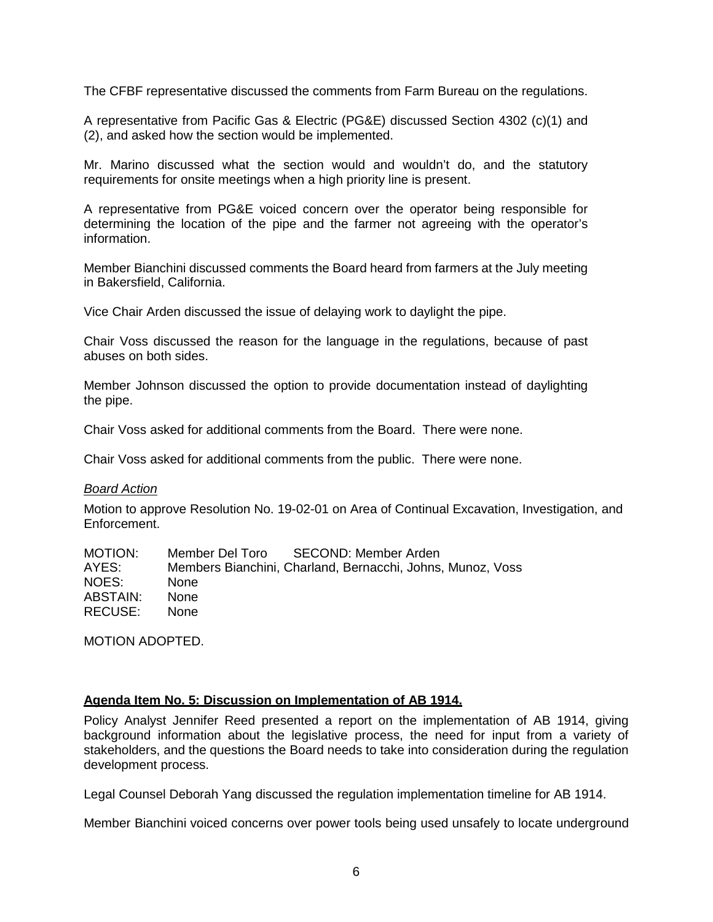The CFBF representative discussed the comments from Farm Bureau on the regulations.

A representative from Pacific Gas & Electric (PG&E) discussed Section 4302 (c)(1) and (2), and asked how the section would be implemented.

Mr. Marino discussed what the section would and wouldn't do, and the statutory requirements for onsite meetings when a high priority line is present.

A representative from PG&E voiced concern over the operator being responsible for determining the location of the pipe and the farmer not agreeing with the operator's information.

Member Bianchini discussed comments the Board heard from farmers at the July meeting in Bakersfield, California.

Vice Chair Arden discussed the issue of delaying work to daylight the pipe.

Chair Voss discussed the reason for the language in the regulations, because of past abuses on both sides.

Member Johnson discussed the option to provide documentation instead of daylighting the pipe.

Chair Voss asked for additional comments from the Board. There were none.

Chair Voss asked for additional comments from the public. There were none.

#### *Board Action*

Motion to approve Resolution No. 19-02-01 on Area of Continual Excavation, Investigation, and Enforcement.

| <b>MOTION:</b> | SECOND: Member Arden<br>Member Del Toro                    |
|----------------|------------------------------------------------------------|
| AYES:          | Members Bianchini, Charland, Bernacchi, Johns, Munoz, Voss |
| NOES:          | <b>None</b>                                                |
| ABSTAIN:       | <b>None</b>                                                |
| RECUSE:        | <b>None</b>                                                |

MOTION ADOPTED.

### **Agenda Item No. 5: Discussion on Implementation of AB 1914.**

Policy Analyst Jennifer Reed presented a report on the implementation of AB 1914, giving background information about the legislative process, the need for input from a variety of stakeholders, and the questions the Board needs to take into consideration during the regulation development process.

Legal Counsel Deborah Yang discussed the regulation implementation timeline for AB 1914.

Member Bianchini voiced concerns over power tools being used unsafely to locate underground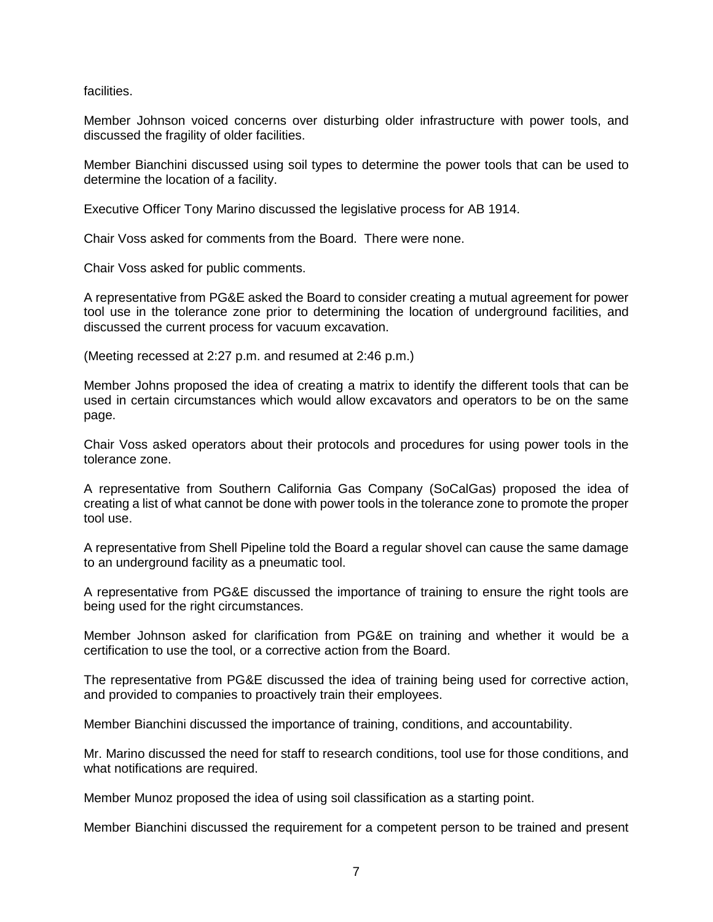facilities.

Member Johnson voiced concerns over disturbing older infrastructure with power tools, and discussed the fragility of older facilities.

Member Bianchini discussed using soil types to determine the power tools that can be used to determine the location of a facility.

Executive Officer Tony Marino discussed the legislative process for AB 1914.

Chair Voss asked for comments from the Board. There were none.

Chair Voss asked for public comments.

A representative from PG&E asked the Board to consider creating a mutual agreement for power tool use in the tolerance zone prior to determining the location of underground facilities, and discussed the current process for vacuum excavation.

(Meeting recessed at 2:27 p.m. and resumed at 2:46 p.m.)

Member Johns proposed the idea of creating a matrix to identify the different tools that can be used in certain circumstances which would allow excavators and operators to be on the same page.

Chair Voss asked operators about their protocols and procedures for using power tools in the tolerance zone.

A representative from Southern California Gas Company (SoCalGas) proposed the idea of creating a list of what cannot be done with power tools in the tolerance zone to promote the proper tool use.

A representative from Shell Pipeline told the Board a regular shovel can cause the same damage to an underground facility as a pneumatic tool.

A representative from PG&E discussed the importance of training to ensure the right tools are being used for the right circumstances.

Member Johnson asked for clarification from PG&E on training and whether it would be a certification to use the tool, or a corrective action from the Board.

The representative from PG&E discussed the idea of training being used for corrective action, and provided to companies to proactively train their employees.

Member Bianchini discussed the importance of training, conditions, and accountability.

Mr. Marino discussed the need for staff to research conditions, tool use for those conditions, and what notifications are required.

Member Munoz proposed the idea of using soil classification as a starting point.

Member Bianchini discussed the requirement for a competent person to be trained and present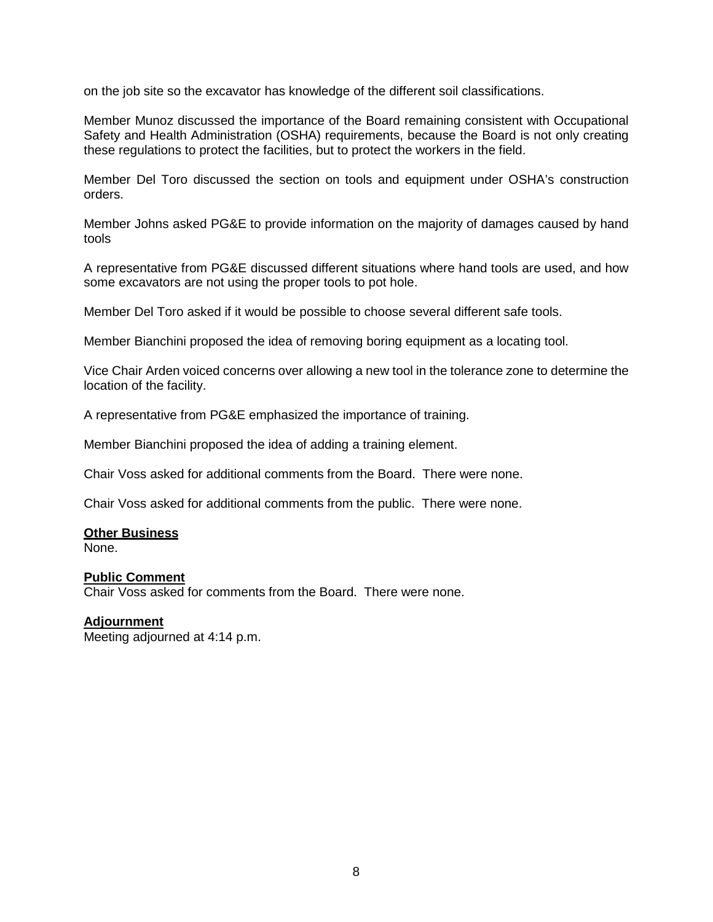on the job site so the excavator has knowledge of the different soil classifications.

Member Munoz discussed the importance of the Board remaining consistent with Occupational Safety and Health Administration (OSHA) requirements, because the Board is not only creating these regulations to protect the facilities, but to protect the workers in the field.

Member Del Toro discussed the section on tools and equipment under OSHA's construction orders.

Member Johns asked PG&E to provide information on the majority of damages caused by hand tools

A representative from PG&E discussed different situations where hand tools are used, and how some excavators are not using the proper tools to pot hole.

Member Del Toro asked if it would be possible to choose several different safe tools.

Member Bianchini proposed the idea of removing boring equipment as a locating tool.

Vice Chair Arden voiced concerns over allowing a new tool in the tolerance zone to determine the location of the facility.

A representative from PG&E emphasized the importance of training.

Member Bianchini proposed the idea of adding a training element.

Chair Voss asked for additional comments from the Board. There were none.

Chair Voss asked for additional comments from the public. There were none.

### **Other Business**

None.

## **Public Comment**

Chair Voss asked for comments from the Board. There were none.

### **Adjournment**

Meeting adjourned at 4:14 p.m.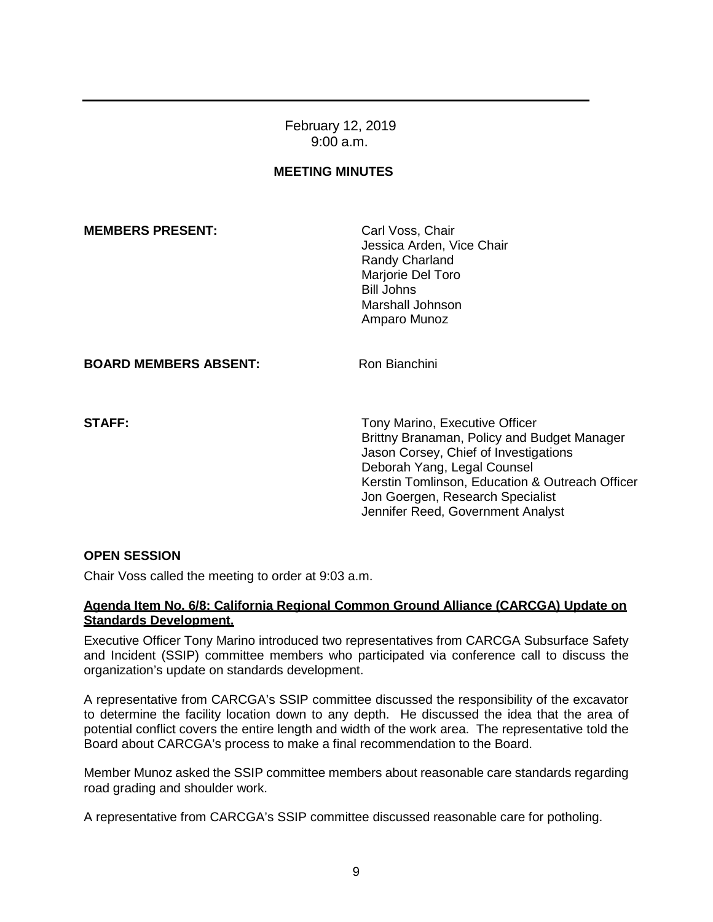February 12, 2019 9:00 a.m.

## **MEETING MINUTES**

### **MEMBERS PRESENT:** Carl Voss, Chair

Jessica Arden, Vice Chair Randy Charland Marjorie Del Toro Bill Johns Marshall Johnson Amparo Munoz

### **BOARD MEMBERS ABSENT:** Ron Bianchini

**STAFF:** Tony Marino, Executive Officer Brittny Branaman, Policy and Budget Manager Jason Corsey, Chief of Investigations Deborah Yang, Legal Counsel Kerstin Tomlinson, Education & Outreach Officer Jon Goergen, Research Specialist Jennifer Reed, Government Analyst

## **OPEN SESSION**

Chair Voss called the meeting to order at 9:03 a.m.

### **Agenda Item No. 6/8: California Regional Common Ground Alliance (CARCGA) Update on Standards Development.**

Executive Officer Tony Marino introduced two representatives from CARCGA Subsurface Safety and Incident (SSIP) committee members who participated via conference call to discuss the organization's update on standards development.

A representative from CARCGA's SSIP committee discussed the responsibility of the excavator to determine the facility location down to any depth. He discussed the idea that the area of potential conflict covers the entire length and width of the work area. The representative told the Board about CARCGA's process to make a final recommendation to the Board.

Member Munoz asked the SSIP committee members about reasonable care standards regarding road grading and shoulder work.

A representative from CARCGA's SSIP committee discussed reasonable care for potholing.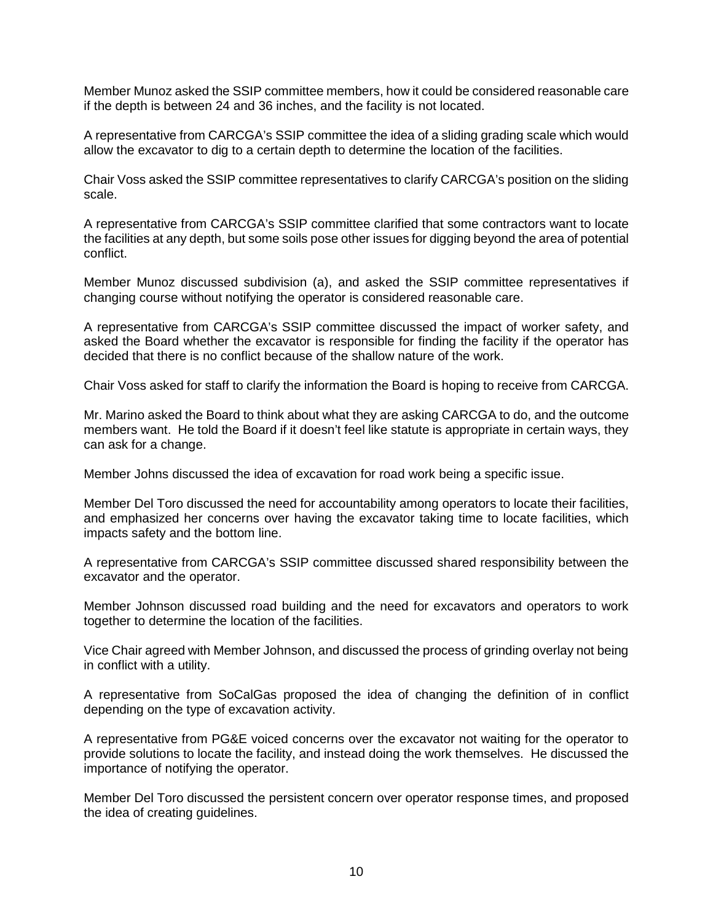Member Munoz asked the SSIP committee members, how it could be considered reasonable care if the depth is between 24 and 36 inches, and the facility is not located.

A representative from CARCGA's SSIP committee the idea of a sliding grading scale which would allow the excavator to dig to a certain depth to determine the location of the facilities.

Chair Voss asked the SSIP committee representatives to clarify CARCGA's position on the sliding scale.

A representative from CARCGA's SSIP committee clarified that some contractors want to locate the facilities at any depth, but some soils pose other issues for digging beyond the area of potential conflict.

Member Munoz discussed subdivision (a), and asked the SSIP committee representatives if changing course without notifying the operator is considered reasonable care.

A representative from CARCGA's SSIP committee discussed the impact of worker safety, and asked the Board whether the excavator is responsible for finding the facility if the operator has decided that there is no conflict because of the shallow nature of the work.

Chair Voss asked for staff to clarify the information the Board is hoping to receive from CARCGA.

Mr. Marino asked the Board to think about what they are asking CARCGA to do, and the outcome members want. He told the Board if it doesn't feel like statute is appropriate in certain ways, they can ask for a change.

Member Johns discussed the idea of excavation for road work being a specific issue.

Member Del Toro discussed the need for accountability among operators to locate their facilities, and emphasized her concerns over having the excavator taking time to locate facilities, which impacts safety and the bottom line.

A representative from CARCGA's SSIP committee discussed shared responsibility between the excavator and the operator.

Member Johnson discussed road building and the need for excavators and operators to work together to determine the location of the facilities.

Vice Chair agreed with Member Johnson, and discussed the process of grinding overlay not being in conflict with a utility.

A representative from SoCalGas proposed the idea of changing the definition of in conflict depending on the type of excavation activity.

A representative from PG&E voiced concerns over the excavator not waiting for the operator to provide solutions to locate the facility, and instead doing the work themselves. He discussed the importance of notifying the operator.

Member Del Toro discussed the persistent concern over operator response times, and proposed the idea of creating guidelines.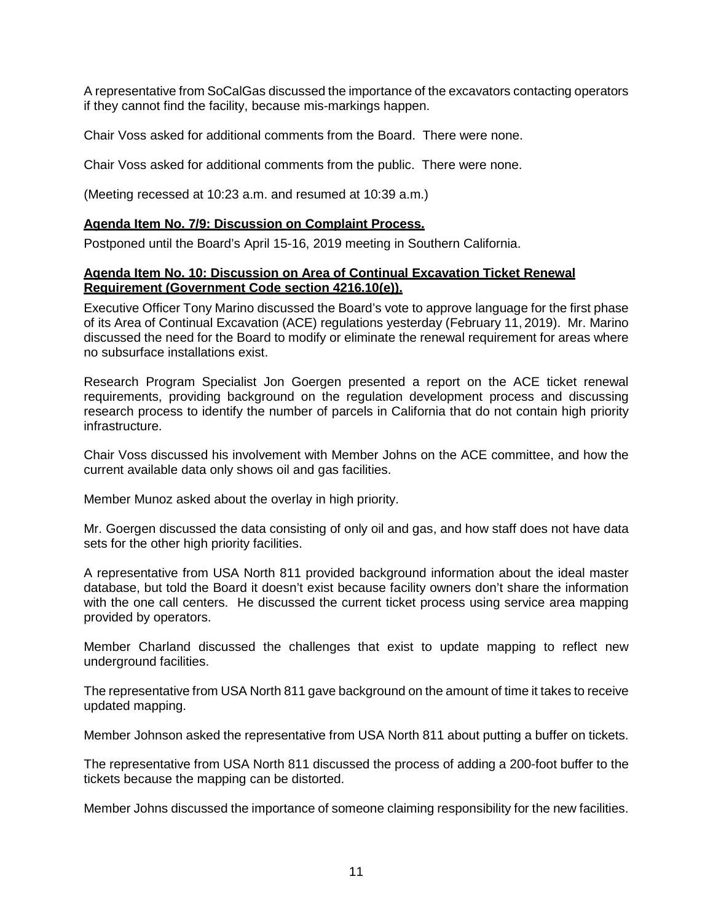A representative from SoCalGas discussed the importance of the excavators contacting operators if they cannot find the facility, because mis-markings happen.

Chair Voss asked for additional comments from the Board. There were none.

Chair Voss asked for additional comments from the public. There were none.

(Meeting recessed at 10:23 a.m. and resumed at 10:39 a.m.)

### **Agenda Item No. 7/9: Discussion on Complaint Process.**

Postponed until the Board's April 15-16, 2019 meeting in Southern California.

### **Agenda Item No. 10: Discussion on Area of Continual Excavation Ticket Renewal Requirement (Government Code section 4216.10(e)).**

Executive Officer Tony Marino discussed the Board's vote to approve language for the first phase of its Area of Continual Excavation (ACE) regulations yesterday (February 11, 2019). Mr. Marino discussed the need for the Board to modify or eliminate the renewal requirement for areas where no subsurface installations exist.

Research Program Specialist Jon Goergen presented a report on the ACE ticket renewal requirements, providing background on the regulation development process and discussing research process to identify the number of parcels in California that do not contain high priority infrastructure.

Chair Voss discussed his involvement with Member Johns on the ACE committee, and how the current available data only shows oil and gas facilities.

Member Munoz asked about the overlay in high priority.

Mr. Goergen discussed the data consisting of only oil and gas, and how staff does not have data sets for the other high priority facilities.

A representative from USA North 811 provided background information about the ideal master database, but told the Board it doesn't exist because facility owners don't share the information with the one call centers. He discussed the current ticket process using service area mapping provided by operators.

Member Charland discussed the challenges that exist to update mapping to reflect new underground facilities.

The representative from USA North 811 gave background on the amount of time it takes to receive updated mapping.

Member Johnson asked the representative from USA North 811 about putting a buffer on tickets.

The representative from USA North 811 discussed the process of adding a 200-foot buffer to the tickets because the mapping can be distorted.

Member Johns discussed the importance of someone claiming responsibility for the new facilities.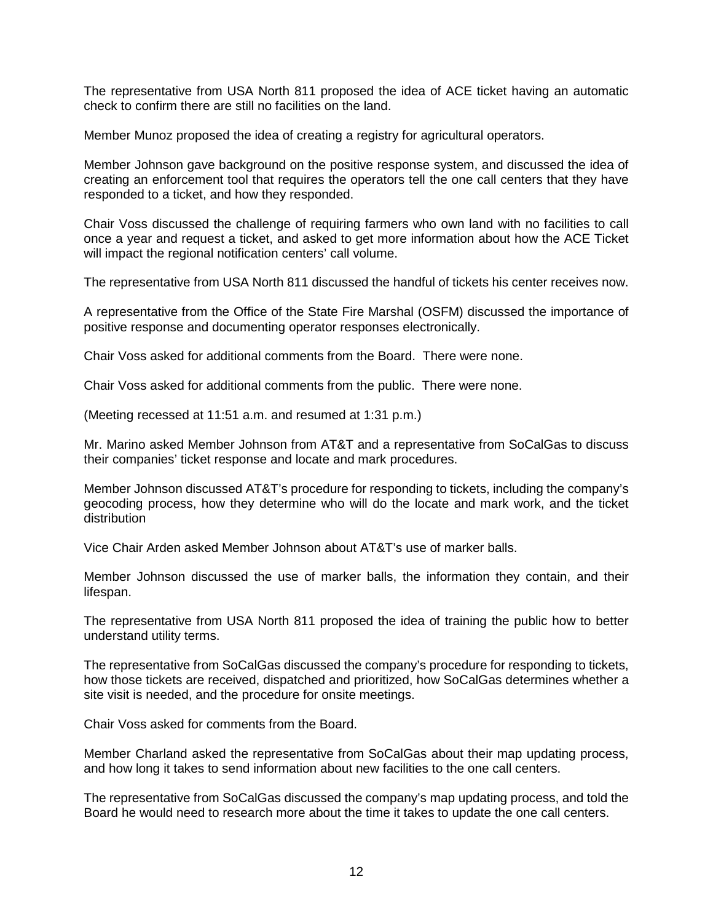The representative from USA North 811 proposed the idea of ACE ticket having an automatic check to confirm there are still no facilities on the land.

Member Munoz proposed the idea of creating a registry for agricultural operators.

Member Johnson gave background on the positive response system, and discussed the idea of creating an enforcement tool that requires the operators tell the one call centers that they have responded to a ticket, and how they responded.

Chair Voss discussed the challenge of requiring farmers who own land with no facilities to call once a year and request a ticket, and asked to get more information about how the ACE Ticket will impact the regional notification centers' call volume.

The representative from USA North 811 discussed the handful of tickets his center receives now.

A representative from the Office of the State Fire Marshal (OSFM) discussed the importance of positive response and documenting operator responses electronically.

Chair Voss asked for additional comments from the Board. There were none.

Chair Voss asked for additional comments from the public. There were none.

(Meeting recessed at 11:51 a.m. and resumed at 1:31 p.m.)

Mr. Marino asked Member Johnson from AT&T and a representative from SoCalGas to discuss their companies' ticket response and locate and mark procedures.

Member Johnson discussed AT&T's procedure for responding to tickets, including the company's geocoding process, how they determine who will do the locate and mark work, and the ticket distribution

Vice Chair Arden asked Member Johnson about AT&T's use of marker balls.

Member Johnson discussed the use of marker balls, the information they contain, and their lifespan.

The representative from USA North 811 proposed the idea of training the public how to better understand utility terms.

The representative from SoCalGas discussed the company's procedure for responding to tickets, how those tickets are received, dispatched and prioritized, how SoCalGas determines whether a site visit is needed, and the procedure for onsite meetings.

Chair Voss asked for comments from the Board.

Member Charland asked the representative from SoCalGas about their map updating process, and how long it takes to send information about new facilities to the one call centers.

The representative from SoCalGas discussed the company's map updating process, and told the Board he would need to research more about the time it takes to update the one call centers.